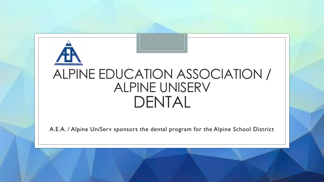

# ALPINE EDUCATION ASSOCIATION / ALPINE UNISERV DENTAL

A.E.A. / Alpine UniServ sponsors the dental program for the Alpine School District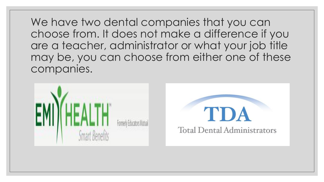We have two dental companies that you can choose from. It does not make a difference if you are a teacher, administrator or what your job title may be, you can choose from either one of these companies.

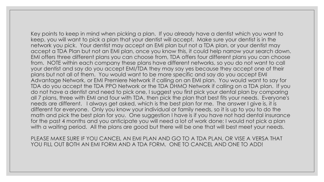Key points to keep in mind when picking a plan. If you already have a dentist which you want to keep, you will want to pick a plan that your dentist will accept. Make sure your dentist is in the network you pick. Your dentist may accept an EMI plan but not a TDA plan, or your dentist may accept a TDA Plan but not an EMI plan, once you know this, it could help narrow your search down. EMI offers three different plans you can choose from, TDA offers four different plans you can choose from. NOTE within each company these plans have different networks, so you do not want to call your dentist and say do you accept EMI/TDA they may say yes because they accept one of their plans but not all of them. You would want to be more specific and say do you accept EMI Advantage Network, or EMI Premiere Network if calling on an EMI plan. You would want to say for TDA do you accept the TDA PPO Network or the TDA DHMO Network if calling on a TDA plan. If you do not have a dentist and need to pick one, I suggest you first pick your dental plan by comparing all 7 plans, three with EMI and four with TDA, then pick the plan that best fits your needs. Everyone's needs are different. I always get asked, which is the best plan for me. The answer I give is, it is different for everyone. Only you know your individual or family needs, so it is up to you to do the math and pick the best plan for you. One suggestion I have is if you have not had dental insurance for the past 4 months and you anticipate you will need a lot of work done; I would not pick a plan with a waiting period. All the plans are good but there will be one that will best meet your needs.

PLEASE MAKE SURE IF YOU CANCEL AN EMI PLAN AND GO TO A TDA PLAN, OR VISE A VERSA THAT YOU FILL OUT BOTH AN EMI FORM AND A TDA FORM. ONE TO CANCEL AND ONE TO ADD!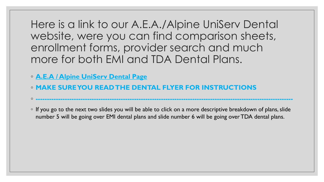Here is a link to our A.E.A./Alpine UniServ Dental website, were you can find comparison sheets, enrollment forms, provider search and much more for both EMI and TDA Dental Plans.

- **[A.E.A / Alpine UniServ Dental Page](about:blank)**
- **MAKE SURE YOU READ THE DENTAL FLYER FOR INSTRUCTIONS**

◦ If you go to the next two slides you will be able to click on a more descriptive breakdown of plans, slide number 5 will be going over EMI dental plans and slide number 6 will be going over TDA dental plans.

◦ **-------------------------------------------------------------------------------------------------------------------**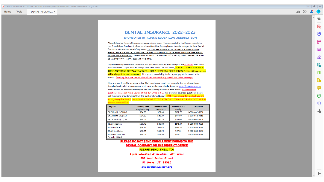### **DENTAL INSURANCE 2022-2023**

#### SPONSORED BY ALPINE EDUCATION ASSOCIATION

Alpine Education Association sponsors seven dental plans. They are available to all employees during the Annual Open Enrollment. Open enrollment is a time for employees to make changes to their Dental Insurance plan without a qualifying event. IF YOU ARE A NEW HIRE OR HAVE A QUALIFYING EVENT, SUCH AS BIRTH, MARRIAGE, DEATH, YOU HAVE 30 DAYS FROM DATE OF THE EVENT TO GET YOUR FORM IN. OPEN ENROLLMENT IS AUGUST 1ST - 15TH, 2022. BENEFITS FAIR IS AUGUST 9TH - 10TH, 2022 AT THE PDC.

If you currently have dental insurance, and you do not want to make changes, you DO NOT need to fill out a new form. If you want to change from TDA to EMI or visa-versa, YOU WILL NEED TO CANCEL THE PLAN YOU DO NOT WANT AND FILL OUT A NEW FORM FOR THE NEW PLAN. Otherwise, you will be charged for dual insurances. It is your responsibility to check your pay stubs to watch for errors. Enrolling in a new dental plan will not automatically cancel the other coverage.

Choose a plan from the summary below, that meets your needs and complete the enrollment form. Attached is detailed information on each plan, or they can also be found at http://alpineuniserv.org. Premiums will be deducted monthly at the end of every month for that month. For enrollment questions, please call Annie Council at 801-224-2055 ext. 2. For claims or coverage questions, please call the dental provider directly at the numbers listed below. NOTE if you sign up for Medical, you are not signing up for dental. Dental is ONLY DONE BY THE ATTACHED FORMS & TURNED INTO AEA, in Pleasant Grove Office!

| Company                                           | <b>Monthly Rate</b><br><b>Employee only</b> | <b>Monthly Rate</b><br><b>Two-Party</b> | <b>Monthly Rate</b><br>Family | Telephone      |
|---------------------------------------------------|---------------------------------------------|-----------------------------------------|-------------------------------|----------------|
| EMI Health (D5) PPO                               | \$34.70                                     | \$79.60                                 | \$137.70                      | 1-800-662-5851 |
| EMI Health (D2) EOP                               | \$24.20                                     | \$56.10                                 | \$87.60                       | 1-800-662-5851 |
| EMIA Health (D3) PPO                              | \$17.70                                     | \$35.70                                 | \$59.00                       | 1-800-662-5851 |
| <b>TDA Companion</b>                              | \$39.92                                     | \$85.80                                 | \$141.49                      | 1-800-880-3536 |
| TDA PPO/MAC                                       | \$36.15                                     | \$81.49                                 | \$137.56                      | 1-800-880-3536 |
| <b>TDA Elite Choice</b>                           | \$28.44                                     | \$59.24                                 | \$97.81                       | 1-800-880-3536 |
| <b>TDA Peak Care Plus</b><br><b>Formally DHMO</b> | \$13.75                                     | \$28.55                                 | \$44.77                       | 1-800-880-3536 |

#### PLEASE DO NOT SEND ENROLLMENT FORMS TO THE **DENTAL COMPANY OR THE DISTRICT OFFICE** PLEASE SEND THEM TO: Alpine Education Association: Att. Annie

557 West Center Street Pl. Grove, UT 84062 annie@alpineuniserv.org

**PE** 区

 $^{\circ}$ 

 $\qquad \qquad \Box$ 

 $\sqrt{2}$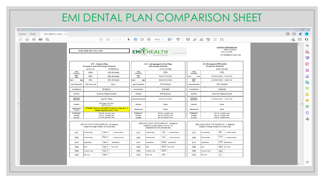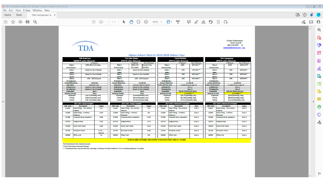#### TDA Comparison Sheet 2022 2023.pdf - Adobe Acrobat Pro DC (32-bit) File Edit View E-Sign Window Help TDA Comparison S... ×

**TDA** 

Home Tools

 $\bar{\mathbb{F}}$ 

国☆ 中日Q

① ① 1 /1 ▶ 11 ○ ④ 96.8% · 日· 平 | 早 2 ☆ 1> 面 Q

 $\odot$ 

 $\mathcal{C}_2 \boxtimes \mathbb{C}_1$ 

 $\sqrt{2}$ 

**Contact Information** Annie Council

801-224-2055 x2

annie@alpineuniserv.org

 $\boxed{c \quad \boxed{d} \quad \boxed{3}}$ 

 $^\copyright$ 20 Ę. 最

 $\mathbb{R}$ los **B** Ð à

| ï |
|---|
| ٠ |
| − |
|   |

5 侵  $\circ$ 

 $\lambda_{\rm O}$ 

|                                                 |                         |                                    |                                           |                          |                                       |                                           | Alpine School District 2022-2023 School Year |                                    |                                    |                                   |                        |                                |                                    |                          |                    |
|-------------------------------------------------|-------------------------|------------------------------------|-------------------------------------------|--------------------------|---------------------------------------|-------------------------------------------|----------------------------------------------|------------------------------------|------------------------------------|-----------------------------------|------------------------|--------------------------------|------------------------------------|--------------------------|--------------------|
| <b>TDA Peak Care</b><br><b>TDA Elite Choice</b> |                         |                                    |                                           |                          |                                       | <b>TDA PPO/MAC</b>                        |                                              |                                    |                                    |                                   | <b>TDA Companion</b>   |                                |                                    |                          |                    |
| (DHMO Provider Network)                         |                         |                                    |                                           |                          |                                       | (PPO Provider Network)                    |                                              |                                    |                                    | (PPO Provider Network)            |                        |                                |                                    | (PPO Provider Network)   |                    |
|                                                 |                         |                                    | <b>In-Network</b>                         |                          |                                       | <b>In-Network</b>                         | <b>Out-of-Network</b>                        |                                    |                                    | <b>In-Network</b>                 | Out-of-Network         |                                |                                    | <b>In-Network</b>        | Out-of-Network     |
| Class 1                                         |                         | 100% after \$10 Copay              |                                           | Class 1                  |                                       | 100% after                                | <b>Based on Fee</b>                          |                                    | Class 1<br>100%                    |                                   | 90% MAC**              | Class 1                        |                                    | 100%                     | 100% MPR*          |
| <b>Preventative</b>                             |                         |                                    |                                           | <b>Preventative</b>      |                                       | \$15 Copay                                | <b>Schedule</b>                              | <b>Preventative</b>                |                                    |                                   |                        | <b>Preventative</b>            |                                    |                          |                    |
| Class <sub>2</sub>                              |                         | <b>Based on Fee Schedule</b>       |                                           | Class <sub>2</sub>       |                                       | <b>Based on Fee Schedule</b>              |                                              | Class <sub>2</sub>                 |                                    | 80%                               | 70% MAC**              | Class <sub>2</sub>             |                                    | 80%                      | 80% MPR*           |
| <b>Basic</b>                                    |                         |                                    |                                           | Basic                    |                                       |                                           |                                              | Basic                              |                                    |                                   |                        | <b>Basic</b>                   |                                    |                          |                    |
| Class <sub>3</sub>                              |                         | <b>Based on Fee Schedule</b>       |                                           | Class <sub>3</sub>       |                                       | <b>Based on Fee Schedule</b>              |                                              | 50%<br>Class <sub>3</sub>          |                                    |                                   | 40% MAC**              | Class <sub>3</sub>             |                                    | 50%                      | 50% MPR*           |
| <b>Major</b>                                    |                         |                                    |                                           | <b>Maior</b>             |                                       |                                           |                                              |                                    | <b>Maior</b>                       |                                   |                        | <b>Major</b>                   |                                    |                          |                    |
| Class 4                                         |                         | 15% - 25% Discount                 |                                           | Class 4                  |                                       | 15% - 25% Discount                        |                                              |                                    | 50%<br>Class 4                     |                                   | 50% MAC**              | Class 4                        |                                    | 50%                      | 50% MPR*           |
| <b>Orthodontics</b>                             |                         |                                    |                                           | <b>Orthodontics</b>      |                                       |                                           |                                              | <b>Orthodontics</b>                |                                    |                                   | <b>Orthodontics</b>    |                                |                                    |                          |                    |
| Annual Maximum                                  |                         |                                    | <b>Unlimited</b>                          | <b>Annual Maximum</b>    |                                       |                                           | \$5,000.00                                   | <b>Annual Maximum</b>              |                                    |                                   | \$1,200.00             | <b>Annual Maximum</b>          |                                    | \$1,000.00               |                    |
| <b>Specialists</b>                              |                         | <b>Specialty Care</b>              |                                           | <b>Specialists</b>       |                                       | <b>Same as General Dentist</b>            |                                              | Ortho Lifetime Max                 |                                    | \$1,000.00 up to age 19           |                        | <b>Ortho Lifetime Max</b>      |                                    | \$1,000.00 up to age 19  |                    |
| <b>Endodontics</b>                              |                         | <b>Based on Fee Schedule</b>       |                                           | <b>Endodontics</b>       |                                       | <b>Based on Fee Schedule</b>              |                                              | <b>Endodontics</b>                 |                                    | Class <sub>3</sub>                |                        | <b>Endodontics</b>             |                                    | Class <sub>3</sub>       |                    |
| <b>Periodontics</b>                             |                         | <b>Based on Fee Schedule</b>       |                                           | <b>Periodontics</b>      |                                       | <b>Based on Fee Schedule</b>              |                                              | <b>Periodontics</b>                |                                    | Class <sub>3</sub>                |                        | <b>Periodontics</b>            |                                    | Class <sub>3</sub>       |                    |
| <b>Deductible</b>                               |                         |                                    | <b>None</b>                               | <b>Deductible</b>        |                                       |                                           | <b>None</b>                                  | <b>Deductible</b>                  |                                    | \$50.00 PP/\$150.00 Family        |                        | <b>Deductible</b>              |                                    | \$100.00 Lifetime/Person |                    |
| <b>Waiting Periods</b>                          |                         |                                    | <b>None</b>                               |                          | <b>Waiting Periods</b><br><b>None</b> |                                           |                                              | <b>Waiting Periods</b>             |                                    | 12 months***                      |                        | <b>Waiting Periods</b>         |                                    | 12 months***             |                    |
| <b>Employee</b>                                 |                         |                                    | \$13.75 (monthly rate)<br><b>Employee</b> |                          |                                       | \$28.44 (monthly rate)<br><b>Employee</b> |                                              |                                    | \$36.15 (monthly rate)             |                                   | <b>Employee</b>        |                                | \$39.92(monthly rate)              |                          |                    |
| \$28.55 (monthly rate)<br>2 Party               |                         | 2 Party                            | \$59.24 (monthly rate)                    |                          |                                       | \$81.49 (monthly rate)<br>2 Party         |                                              |                                    | 2 Party                            |                                   | \$85.80 (monthly rate) |                                |                                    |                          |                    |
| <b>Family</b>                                   | \$44.77(monthly rate)   |                                    | Family                                    |                          | \$97.81(monthly rate)                 |                                           | \$137.56 (monthy rate)<br>Family             |                                    |                                    | Family                            |                        | \$141.49 (monthly rate)        |                                    |                          |                    |
| 2022-2023 Copay Examples                        |                         |                                    |                                           | 2022-2023 Copay Examples |                                       |                                           |                                              | 2022-2023 Coinsurance Examples     |                                    |                                   |                        | 2022-2023 Coinsurance Examples |                                    |                          |                    |
| <b>ADA Code</b>                                 |                         | <b>Description</b>                 | Copay                                     | <b>ADA Code</b>          |                                       | <b>Description</b>                        | Copay                                        | <b>ADA Code</b>                    | <b>Description</b>                 |                                   | <b>Class</b>           | <b>ADA Code</b>                | <b>Description</b>                 |                          | Copay              |
| D2331                                           |                         | <b>Resin Filling - Two Surface</b> | \$52                                      | D2331                    |                                       | <b>Resin Filling - Two Surface</b>        | \$40                                         | D2331                              | <b>Resin Filling - Two Surface</b> |                                   | Class <sub>2</sub>     | D2331                          | <b>Resin Filling - Two Surface</b> |                          | Class <sub>2</sub> |
|                                                 | <b>Anterior</b>         |                                    |                                           |                          | Anterior                              |                                           |                                              | <b>Anterior</b>                    |                                    |                                   |                        | <b>Anterior</b>                |                                    |                          |                    |
| D2394                                           |                         | Resin Filling - 4 surface          | \$108                                     | D2394                    |                                       | <b>Resin Filling - 4 surface</b>          | \$95                                         | D2394<br>Resin Filling - 4 surface |                                    | Class <sub>2</sub>                |                        | D2394                          | Resin Filling - 4 surface          |                          | Class <sub>2</sub> |
|                                                 | <b>Posterior</b>        |                                    |                                           | Posterior                |                                       |                                           |                                              | Posterior                          |                                    |                                   | <b>Posterior</b>       |                                |                                    |                          |                    |
| D7240                                           |                         | <b>Complete Bony Impaction</b>     | \$135                                     | D7240                    |                                       | <b>Complete Bony Impaction</b>            | \$125                                        | D7240                              |                                    | <b>Complete Bony Impaction</b>    | Class <sub>2</sub>     | D7240                          | <b>Complete Bony Impaction</b>     |                          | Class <sub>3</sub> |
|                                                 |                         |                                    |                                           |                          |                                       |                                           |                                              |                                    |                                    |                                   |                        |                                |                                    |                          |                    |
| D4210<br>Gingivectomy                           |                         | \$200                              | D4210                                     | Gingivectomy             |                                       | \$175                                     | D4210                                        | Gingivectomy                       |                                    | Class 3                           | D4210                  | Gingivectomy                   |                                    | Class <sub>3</sub>       |                    |
|                                                 |                         |                                    |                                           |                          |                                       |                                           |                                              |                                    |                                    |                                   |                        |                                |                                    |                          |                    |
| D3330                                           | <b>Molar Root Canal</b> |                                    | \$395                                     | D3330                    | <b>Molar Root Canal</b>               |                                           | \$323                                        | D3330                              | <b>Molar Root Canal</b>            |                                   | Class <sub>3</sub>     | D3330                          | <b>Molar Root Canal</b>            |                          | Class <sub>3</sub> |
| D2750                                           | <b>Porcelain Crown</b>  |                                    | $$325+$<br>Lab Fee                        | D2750                    | Porcelain Crown                       |                                           | \$365                                        | D2750                              |                                    | <b>Porcelain Crown</b><br>Class 3 |                        | D2750                          | Porcelain Crown                    |                          | Class <sub>3</sub> |
| D9430                                           | <b>Office Visit</b>     |                                    | \$0                                       | D9430                    | <b>Office Visit</b>                   |                                           | \$15                                         | <b>D9430</b>                       | <b>Office Visit</b>                |                                   | Class 1                | D9430                          | <b>Office Visit</b>                |                          | Class <sub>1</sub> |

VISION AND HEARING DISCOUNT PLAN INCLUDED ON ALL PLANS

\*MPR (Maximum Plan Reimbursement)

\*\* MAC (Maximum Allowable Charge)

\*\*\* Waiting period is waived with prior coverage, switching from EMI Health to TDA or switching between TDA plans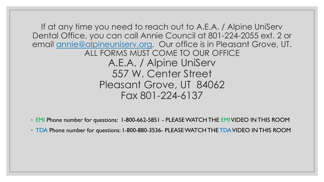If at any time you need to reach out to A.E.A. / Alpine UniServ Dental Office, you can call Annie Council at 801-224-2055 ext. 2 or email annie@alpineuniserv.org. Our office is in Pleasant Grove, UT. ALL FORMS MUST COME TO OUR OFFICE A.E.A. / Alpine UniServ 557 W. Center Street Pleasant Grove, UT 84062 Fax 801-224-6137

◦ EMI Phone number for questions: 1-800-662-5851 - PLEASE WATCH THE EMIVIDEO IN THIS ROOM

◦ TDA Phone number for questions: 1-800-880-3536- PLEASE WATCH THE TDAVIDEO IN THIS ROOM